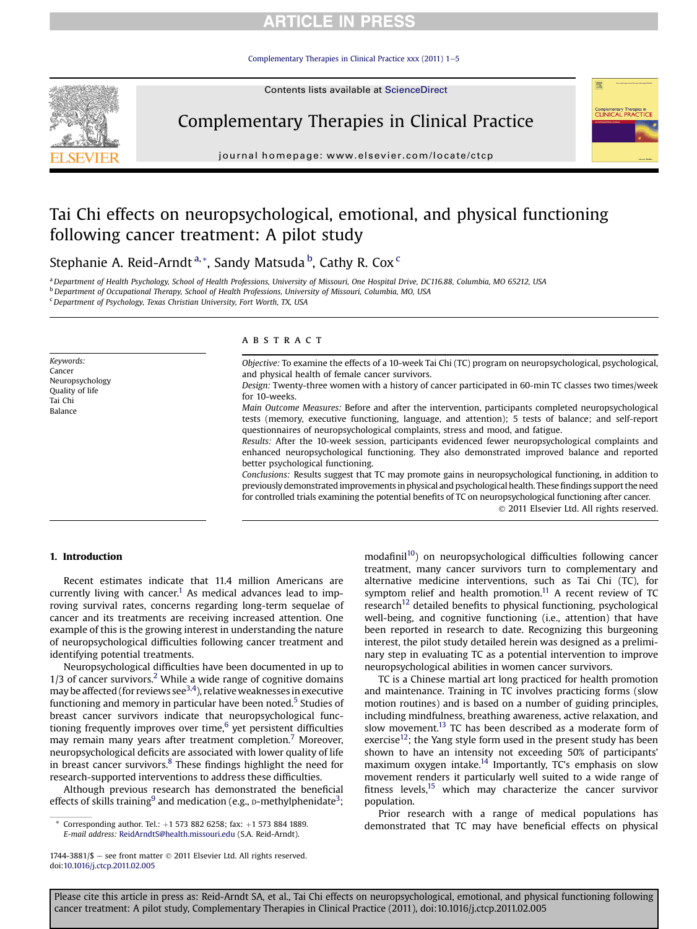## **RTICLE IN PRESS**

[Complementary Therapies in Clinical Practice xxx \(2011\) 1](http://dx.doi.org/10.1016/j.ctcp.2011.02.005)-[5](http://dx.doi.org/10.1016/j.ctcp.2011.02.005)



Complementary Therapies in Clinical Practice



journal homepage: [www.elsevier.com/locate/ctcp](http://www.elsevier.com/locate/ctcp)

# Tai Chi effects on neuropsychological, emotional, and physical functioning following cancer treatment: A pilot study

Stephanie A. Reid-Arndt <sup>a,</sup>\*, Sandy Matsuda <sup>b</sup>, Cathy R. Cox <sup>c</sup>

a Department of Health Psychology, School of Health Professions, University of Missouri, One Hospital Drive, DC116.88, Columbia, MO 65212, USA <sup>b</sup> Department of Occupational Therapy, School of Health Professions, University of Missouri, Columbia, MO, USA

<sup>c</sup> Department of Psychology, Texas Christian University, Fort Worth, TX, USA

Keywords: Cancer Neuropsychology Quality of life Tai Chi Balance

#### **ABSTRACT**

Objective: To examine the effects of a 10-week Tai Chi (TC) program on neuropsychological, psychological, and physical health of female cancer survivors.

Design: Twenty-three women with a history of cancer participated in 60-min TC classes two times/week for 10-weeks.

Main Outcome Measures: Before and after the intervention, participants completed neuropsychological tests (memory, executive functioning, language, and attention); 5 tests of balance; and self-report questionnaires of neuropsychological complaints, stress and mood, and fatigue.

Results: After the 10-week session, participants evidenced fewer neuropsychological complaints and enhanced neuropsychological functioning. They also demonstrated improved balance and reported better psychological functioning.

Conclusions: Results suggest that TC may promote gains in neuropsychological functioning, in addition to previously demonstratedimprovements in physical and psychological health. Thesefindings support the need for controlled trials examining the potential benefits of TC on neuropsychological functioning after cancer.

2011 Elsevier Ltd. All rights reserved.

## 1. Introduction

Recent estimates indicate that 11.4 million Americans are currently living with cancer.<sup>[1](#page-3-0)</sup> As medical advances lead to improving survival rates, concerns regarding long-term sequelae of cancer and its treatments are receiving increased attention. One example of this is the growing interest in understanding the nature of neuropsychological difficulties following cancer treatment and identifying potential treatments.

Neuropsychological difficulties have been documented in up to 1/3 of cancer survivors.<sup>2</sup> While a wide range of cognitive domains may be affected (for reviews see<sup>3,4</sup>), relative weaknesses in executive functioning and memory in particular have been noted.<sup>5</sup> Studies of breast cancer survivors indicate that neuropsychological functioning frequently improves over time, $6$  yet persistent difficulties may remain many years after treatment completion.<sup>[7](#page-3-0)</sup> Moreover, neuropsychological deficits are associated with lower quality of life in breast cancer survivors. $8$  These findings highlight the need for research-supported interventions to address these difficulties.

Although previous research has demonstrated the beneficial effects of skills training $^9$  $^9$  and medication (e.g., <code>b-methylphenidate $^3;$  $^3;$  $^3;$ </code>

modafinil<sup>10</sup>) on neuropsychological difficulties following cancer treatment, many cancer survivors turn to complementary and alternative medicine interventions, such as Tai Chi (TC), for symptom relief and health promotion. $11$  A recent review of TC research<sup>12</sup> detailed benefits to physical functioning, psychological well-being, and cognitive functioning (i.e., attention) that have been reported in research to date. Recognizing this burgeoning interest, the pilot study detailed herein was designed as a preliminary step in evaluating TC as a potential intervention to improve neuropsychological abilities in women cancer survivors.

TC is a Chinese martial art long practiced for health promotion and maintenance. Training in TC involves practicing forms (slow motion routines) and is based on a number of guiding principles, including mindfulness, breathing awareness, active relaxation, and slow movement.<sup>13</sup> TC has been described as a moderate form of exercise<sup>12</sup>; the Yang style form used in the present study has been shown to have an intensity not exceeding 50% of participants' maximum oxygen intake.<sup>14</sup> Importantly, TC's emphasis on slow movement renders it particularly well suited to a wide range of fitness levels,<sup>[15](#page-4-0)</sup> which may characterize the cancer survivor population.

Prior research with a range of medical populations has Corresponding author. Tel.: +1 573 882 6258; fax: +1 573 884 1889. demonstrated that TC may have beneficial effects on physical

E-mail address: [ReidArndtS@health.missouri.edu](mailto:ReidArndtS@health.missouri.edu) (S.A. Reid-Arndt).

<sup>1744-3881/\$ -</sup> see front matter  $\odot$  2011 Elsevier Ltd. All rights reserved. doi[:10.1016/j.ctcp.2011.02.005](http://dx.doi.org/10.1016/j.ctcp.2011.02.005)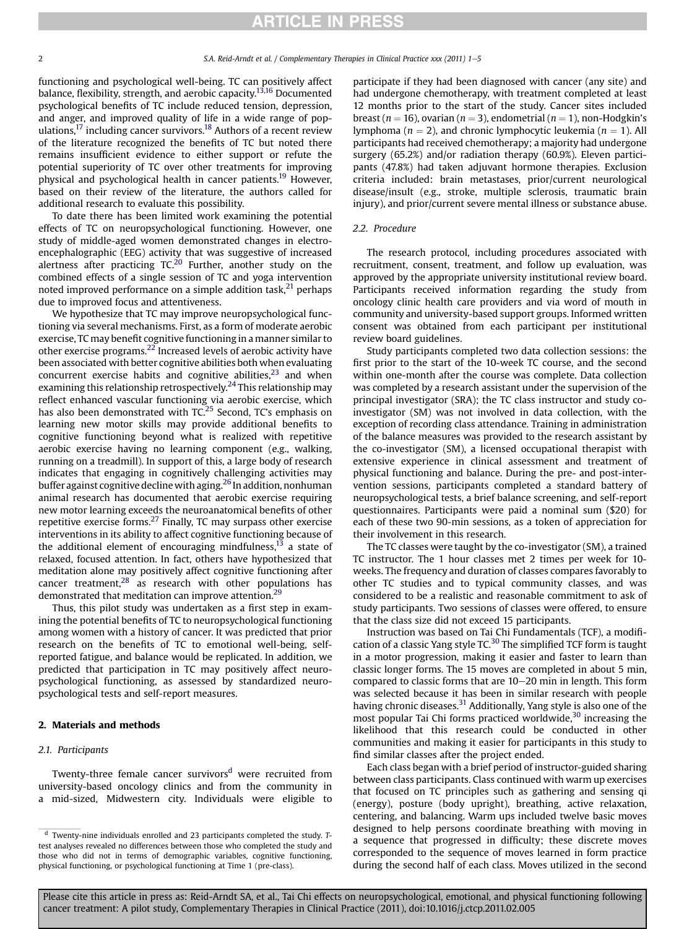## **ARTICLE IN PRESS**

functioning and psychological well-being. TC can positively affect balance, flexibility, strength, and aerobic capacity[.13,16](#page-4-0) Documented psychological benefits of TC include reduced tension, depression, and anger, and improved quality of life in a wide range of pop-ulations,<sup>[17](#page-4-0)</sup> including cancer survivors.<sup>[18](#page-4-0)</sup> Authors of a recent review of the literature recognized the benefits of TC but noted there remains insufficient evidence to either support or refute the potential superiority of TC over other treatments for improving physical and psychological health in cancer patients[.19](#page-4-0) However, based on their review of the literature, the authors called for additional research to evaluate this possibility.

To date there has been limited work examining the potential effects of TC on neuropsychological functioning. However, one study of middle-aged women demonstrated changes in electroencephalographic (EEG) activity that was suggestive of increased alertness after practicing  $TC^{20}$  $TC^{20}$  $TC^{20}$  Further, another study on the combined effects of a single session of TC and yoga intervention noted improved performance on a simple addition task, $^{21}$  $^{21}$  $^{21}$  perhaps due to improved focus and attentiveness.

We hypothesize that TC may improve neuropsychological functioning via several mechanisms. First, as a form of moderate aerobic exercise, TC may benefit cognitive functioning in a manner similar to other exercise programs.[22](#page-4-0) Increased levels of aerobic activity have been associated with better cognitive abilities both when evaluating concurrent exercise habits and cognitive abilities, $23$  and when examining this relationship retrospectively.<sup>[24](#page-4-0)</sup> This relationship may reflect enhanced vascular functioning via aerobic exercise, which has also been demonstrated with TC.<sup>[25](#page-4-0)</sup> Second, TC's emphasis on learning new motor skills may provide additional benefits to cognitive functioning beyond what is realized with repetitive aerobic exercise having no learning component (e.g., walking, running on a treadmill). In support of this, a large body of research indicates that engaging in cognitively challenging activities may buffer against cognitive decline with aging.<sup>[26](#page-4-0)</sup> In addition, nonhuman animal research has documented that aerobic exercise requiring new motor learning exceeds the neuroanatomical benefits of other repetitive exercise forms.[27](#page-4-0) Finally, TC may surpass other exercise interventions in its ability to affect cognitive functioning because of the additional element of encouraging mindfulness, $13$  a state of relaxed, focused attention. In fact, others have hypothesized that meditation alone may positively affect cognitive functioning after cancer treatment, $28$  as research with other populations has demonstrated that meditation can improve attention.<sup>[29](#page-4-0)</sup>

Thus, this pilot study was undertaken as a first step in examining the potential benefits of TC to neuropsychological functioning among women with a history of cancer. It was predicted that prior research on the benefits of TC to emotional well-being, selfreported fatigue, and balance would be replicated. In addition, we predicted that participation in TC may positively affect neuropsychological functioning, as assessed by standardized neuropsychological tests and self-report measures.

### 2. Materials and methods

#### 2.1. Participants

Twenty-three female cancer survivors<sup>d</sup> were recruited from university-based oncology clinics and from the community in a mid-sized, Midwestern city. Individuals were eligible to participate if they had been diagnosed with cancer (any site) and had undergone chemotherapy, with treatment completed at least 12 months prior to the start of the study. Cancer sites included breast ( $n = 16$ ), ovarian ( $n = 3$ ), endometrial ( $n = 1$ ), non-Hodgkin's lymphoma ( $n = 2$ ), and chronic lymphocytic leukemia ( $n = 1$ ). All participants had received chemotherapy; a majority had undergone surgery (65.2%) and/or radiation therapy (60.9%). Eleven participants (47.8%) had taken adjuvant hormone therapies. Exclusion criteria included: brain metastases, prior/current neurological disease/insult (e.g., stroke, multiple sclerosis, traumatic brain injury), and prior/current severe mental illness or substance abuse.

#### 2.2. Procedure

The research protocol, including procedures associated with recruitment, consent, treatment, and follow up evaluation, was approved by the appropriate university institutional review board. Participants received information regarding the study from oncology clinic health care providers and via word of mouth in community and university-based support groups. Informed written consent was obtained from each participant per institutional review board guidelines.

Study participants completed two data collection sessions: the first prior to the start of the 10-week TC course, and the second within one-month after the course was complete. Data collection was completed by a research assistant under the supervision of the principal investigator (SRA); the TC class instructor and study coinvestigator (SM) was not involved in data collection, with the exception of recording class attendance. Training in administration of the balance measures was provided to the research assistant by the co-investigator (SM), a licensed occupational therapist with extensive experience in clinical assessment and treatment of physical functioning and balance. During the pre- and post-intervention sessions, participants completed a standard battery of neuropsychological tests, a brief balance screening, and self-report questionnaires. Participants were paid a nominal sum (\$20) for each of these two 90-min sessions, as a token of appreciation for their involvement in this research.

The TC classes were taught by the co-investigator (SM), a trained TC instructor. The 1 hour classes met 2 times per week for 10 weeks. The frequency and duration of classes compares favorably to other TC studies and to typical community classes, and was considered to be a realistic and reasonable commitment to ask of study participants. Two sessions of classes were offered, to ensure that the class size did not exceed 15 participants.

Instruction was based on Tai Chi Fundamentals (TCF), a modification of a classic Yang style TC. $30$  The simplified TCF form is taught in a motor progression, making it easier and faster to learn than classic longer forms. The 15 moves are completed in about 5 min, compared to classic forms that are  $10-20$  min in length. This form was selected because it has been in similar research with people having chronic diseases.<sup>31</sup> Additionally, Yang style is also one of the most popular Tai Chi forms practiced worldwide[,30](#page-4-0) increasing the likelihood that this research could be conducted in other communities and making it easier for participants in this study to find similar classes after the project ended.

Each class began with a brief period of instructor-guided sharing between class participants. Class continued with warm up exercises that focused on TC principles such as gathering and sensing qi (energy), posture (body upright), breathing, active relaxation, centering, and balancing. Warm ups included twelve basic moves designed to help persons coordinate breathing with moving in a sequence that progressed in difficulty; these discrete moves corresponded to the sequence of moves learned in form practice during the second half of each class. Moves utilized in the second

 $\overline{d}$  Twenty-nine individuals enrolled and 23 participants completed the study. Ttest analyses revealed no differences between those who completed the study and those who did not in terms of demographic variables, cognitive functioning, physical functioning, or psychological functioning at Time 1 (pre-class).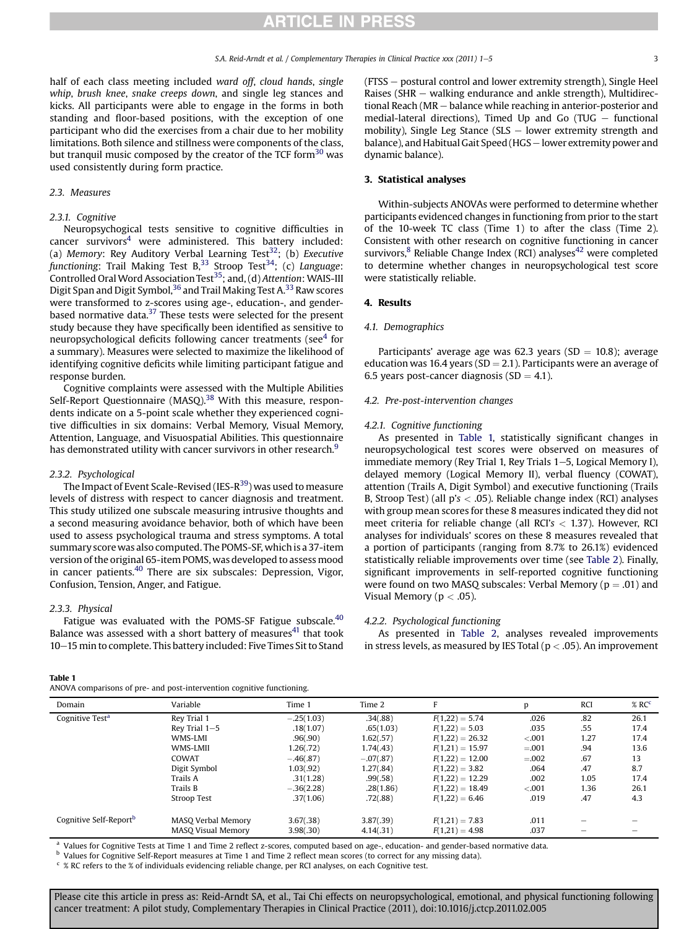half of each class meeting included ward off, cloud hands, single whip, brush knee, snake creeps down, and single leg stances and kicks. All participants were able to engage in the forms in both standing and floor-based positions, with the exception of one participant who did the exercises from a chair due to her mobility limitations. Both silence and stillness were components of the class, but tranquil music composed by the creator of the TCF form $30$  was used consistently during form practice.

## 2.3. Measures

#### 2.3.1. Cognitive

Neuropsychogical tests sensitive to cognitive difficulties in  $cancer$  survivors<sup>4</sup> were administered. This battery included: (a) Memory: Rey Auditory Verbal Learning Test<sup>32</sup>; (b) Executive functioning: Trail Making Test B,<sup>33</sup> Stroop Test<sup>34</sup>; (c) Language: Controlled Oral Word Association Test<sup>35</sup>; and, (d) Attention: WAIS-III Digit Span and Digit Symbol,[36](#page-4-0) and Trail Making Test A.[33](#page-4-0) Raw scores were transformed to z-scores using age-, education-, and genderbased normative data. $37$  These tests were selected for the present study because they have specifically been identified as sensitive to neuropsychological deficits following cancer treatments (see $4$  for a summary). Measures were selected to maximize the likelihood of identifying cognitive deficits while limiting participant fatigue and response burden.

Cognitive complaints were assessed with the Multiple Abilities Self-Report Questionnaire (MASQ).<sup>[38](#page-4-0)</sup> With this measure, respondents indicate on a 5-point scale whether they experienced cognitive difficulties in six domains: Verbal Memory, Visual Memory, Attention, Language, and Visuospatial Abilities. This questionnaire has demonstrated utility with cancer survivors in other research.<sup>[9](#page-4-0)</sup>

#### 2.3.2. Psychological

The Impact of Event Scale-Revised (IES- $R^{39}$  $R^{39}$  $R^{39}$ ) was used to measure levels of distress with respect to cancer diagnosis and treatment. This study utilized one subscale measuring intrusive thoughts and a second measuring avoidance behavior, both of which have been used to assess psychological trauma and stress symptoms. A total summary scorewas also computed. The POMS-SF, which is a 37-item version of the original 65-item POMS, was developed to assess mood in cancer patients.[40](#page-4-0) There are six subscales: Depression, Vigor, Confusion, Tension, Anger, and Fatigue.

#### 2.3.3. Physical

Fatigue was evaluated with the POMS-SF Fatigue subscale. $40$ Balance was assessed with a short battery of measures $41$  that took 10-15 min to complete. This battery included: Five Times Sit to Stand

#### Table 1

ANOVA comparisons of pre- and post-intervention cognitive functioning.

 $(FTSS - postural control and lower extremity strength)$ , Single Heel Raises (SHR  $-$  walking endurance and ankle strength), Multidirectional Reach ( $MR - balance$  while reaching in anterior-posterior and medial-lateral directions), Timed Up and Go (TUG  $-$  functional mobility), Single Leg Stance (SLS  $-$  lower extremity strength and balance), and Habitual Gait Speed (HGS - lower extremity power and dynamic balance).

### 3. Statistical analyses

Within-subjects ANOVAs were performed to determine whether participants evidenced changes in functioning from prior to the start of the 10-week TC class (Time 1) to after the class (Time 2). Consistent with other research on cognitive functioning in cancer survivors, $8$  Reliable Change Index (RCI) analyses<sup>[42](#page-4-0)</sup> were completed to determine whether changes in neuropsychological test score were statistically reliable.

#### 4. Results

#### 4.1. Demographics

Participants' average age was 62.3 years (SD  $= 10.8$ ); average education was 16.4 years (SD  $= 2.1$ ). Participants were an average of 6.5 years post-cancer diagnosis  $(SD = 4.1)$ .

#### 4.2. Pre-post-intervention changes

#### 4.2.1. Cognitive functioning

As presented in Table 1, statistically significant changes in neuropsychological test scores were observed on measures of immediate memory (Rey Trial 1, Rey Trials 1-5, Logical Memory I), delayed memory (Logical Memory II), verbal fluency (COWAT), attention (Trails A, Digit Symbol) and executive functioning (Trails B, Stroop Test) (all  $p's < .05$ ). Reliable change index (RCI) analyses with group mean scores for these 8 measures indicated they did not meet criteria for reliable change (all RCI's  $<$  1.37). However, RCI analyses for individuals' scores on these 8 measures revealed that a portion of participants (ranging from 8.7% to 26.1%) evidenced statistically reliable improvements over time (see [Table 2\)](#page-3-0). Finally, significant improvements in self-reported cognitive functioning were found on two MASQ subscales: Verbal Memory ( $p = .01$ ) and Visual Memory ( $p < .05$ ).

## 4.2.2. Psychological functioning

As presented in [Table 2,](#page-3-0) analyses revealed improvements in stress levels, as measured by IES Total ( $p < .05$ ). An improvement

| Domain                             | Variable                  | Time 1       | Time 2      | F                 | p       | <b>RCI</b> | % RC <sup>c</sup> |
|------------------------------------|---------------------------|--------------|-------------|-------------------|---------|------------|-------------------|
| Cognitive Test <sup>a</sup>        | Rey Trial 1               | $-.25(1.03)$ | .34(.88)    | $F(1,22) = 5.74$  | .026    | .82        | 26.1              |
|                                    | Rey Trial $1-5$           | .18(1.07)    | .65(1.03)   | $F(1,22) = 5.03$  | .035    | .55        | 17.4              |
|                                    | WMS-LMI                   | .96(.90)     | 1.62(.57)   | $F(1,22) = 26.32$ | < .001  | 1.27       | 17.4              |
|                                    | WMS-LMII                  | 1.26(.72)    | 1.74(.43)   | $F(1,21) = 15.97$ | $=.001$ | .94        | 13.6              |
|                                    | COWAT                     | $-46(.87)$   | $-.07(.87)$ | $F(1,22) = 12.00$ | $=.002$ | .67        | 13                |
|                                    | Digit Symbol              | 1.03(.92)    | 1.27(.84)   | $F(1,22) = 3.82$  | .064    | .47        | 8.7               |
|                                    | Trails A                  | .31(1.28)    | .99(.58)    | $F(1,22) = 12.29$ | .002    | 1.05       | 17.4              |
|                                    | Trails B                  | $-.36(2.28)$ | .28(1.86)   | $F(1,22) = 18.49$ | < .001  | 1.36       | 26.1              |
|                                    | Stroop Test               | .37(1.06)    | .72(.88)    | $F(1,22) = 6.46$  | .019    | .47        | 4.3               |
| Cognitive Self-Report <sup>b</sup> | MASQ Verbal Memory        | 3.67(.38)    | 3.87(.39)   | $F(1,21) = 7.83$  | .011    |            |                   |
|                                    | <b>MASO Visual Memory</b> | 3.98(.30)    | 4.14(.31)   | $F(1,21) = 4.98$  | .037    |            |                   |

<sup>a</sup> Values for Cognitive Tests at Time 1 and Time 2 reflect z-scores, computed based on age-, education- and gender-based normative data.

<sup>b</sup> Values for Cognitive Self-Report measures at Time 1 and Time 2 reflect mean scores (to correct for any missing data).

<sup>c</sup> % RC refers to the % of individuals evidencing reliable change, per RCI analyses, on each Cognitive test.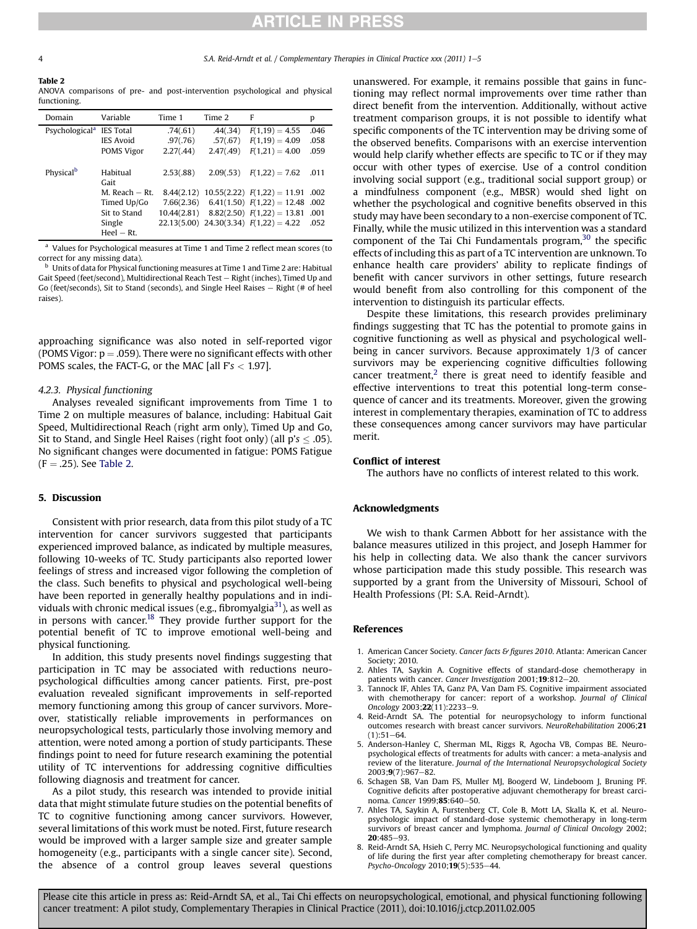# **RTICLE IN PRESS**

<span id="page-3-0"></span>

ANOVA comparisons of pre- and post-intervention psychological and physical functioning.

| Domain                     | Variable           | Time 1      | Time 2    | F                                            | р    |
|----------------------------|--------------------|-------------|-----------|----------------------------------------------|------|
| Psychological <sup>a</sup> | <b>IES Total</b>   | .74(.61)    | .44(.34)  | $F(1,19) = 4.55$                             | .046 |
|                            | <b>IES Avoid</b>   | .97(.76)    | .57(.67)  | $F(1,19) = 4.09$                             | .058 |
|                            | POMS Vigor         | 2.27(.44)   | 2.47(.49) | $F(1,21) = 4.00$                             | .059 |
|                            |                    |             |           |                                              |      |
| Physical <sup>b</sup>      | Habitual           | 2.53(.88)   | 2.09(.53) | $F(1,22) = 7.62$                             | .011 |
|                            | Gait               |             |           |                                              |      |
|                            | $M.$ Reach $-$ Rt. |             |           | $8.44(2.12)$ 10.55(2.22) $F(1,22) = 11.91$   | .002 |
|                            | Timed Up/Go        | 7.66(2.36)  |           | 6.41(1.50) $F(1,22) = 12.48$                 | .002 |
|                            | Sit to Stand       | 10.44(2.81) |           | $8.82(2.50)$ $F(1,22) = 13.81$               | .001 |
|                            | Single             |             |           | $22.13(5.00)$ $24.30(3.34)$ $F(1,22) = 4.22$ | .052 |
|                            | $Heel - Rt$ .      |             |           |                                              |      |

<sup>a</sup> Values for Psychological measures at Time 1 and Time 2 reflect mean scores (to

correct for any missing data). <sup>b</sup> Units of data for Physical functioning measures at Time 1 and Time 2 are: Habitual Gait Speed (feet/second), Multidirectional Reach Test - Right (inches), Timed Up and Go (feet/seconds), Sit to Stand (seconds), and Single Heel Raises  $-$  Right (# of heel raises).

approaching significance was also noted in self-reported vigor (POMS Vigor:  $p = .059$ ). There were no significant effects with other POMS scales, the FACT-G, or the MAC [all  $Fs < 1.97$ ].

## 4.2.3. Physical functioning

Analyses revealed significant improvements from Time 1 to Time 2 on multiple measures of balance, including: Habitual Gait Speed, Multidirectional Reach (right arm only), Timed Up and Go, Sit to Stand, and Single Heel Raises (right foot only) (all  $p's < .05$ ). No significant changes were documented in fatigue: POMS Fatigue  $(F = .25)$ . See Table 2.

#### 5. Discussion

Consistent with prior research, data from this pilot study of a TC intervention for cancer survivors suggested that participants experienced improved balance, as indicated by multiple measures, following 10-weeks of TC. Study participants also reported lower feelings of stress and increased vigor following the completion of the class. Such benefits to physical and psychological well-being have been reported in generally healthy populations and in individuals with chronic medical issues (e.g., fibromyalgia $^{31}$  $^{31}$  $^{31}$ ), as well as in persons with cancer.<sup>[18](#page-4-0)</sup> They provide further support for the potential benefit of TC to improve emotional well-being and physical functioning.

In addition, this study presents novel findings suggesting that participation in TC may be associated with reductions neuropsychological difficulties among cancer patients. First, pre-post evaluation revealed significant improvements in self-reported memory functioning among this group of cancer survivors. Moreover, statistically reliable improvements in performances on neuropsychological tests, particularly those involving memory and attention, were noted among a portion of study participants. These findings point to need for future research examining the potential utility of TC interventions for addressing cognitive difficulties following diagnosis and treatment for cancer.

As a pilot study, this research was intended to provide initial data that might stimulate future studies on the potential benefits of TC to cognitive functioning among cancer survivors. However, several limitations of this work must be noted. First, future research would be improved with a larger sample size and greater sample homogeneity (e.g., participants with a single cancer site). Second, the absence of a control group leaves several questions unanswered. For example, it remains possible that gains in functioning may reflect normal improvements over time rather than direct benefit from the intervention. Additionally, without active treatment comparison groups, it is not possible to identify what specific components of the TC intervention may be driving some of the observed benefits. Comparisons with an exercise intervention would help clarify whether effects are specific to TC or if they may occur with other types of exercise. Use of a control condition involving social support (e.g., traditional social support group) or a mindfulness component (e.g., MBSR) would shed light on whether the psychological and cognitive benefits observed in this study may have been secondary to a non-exercise component of TC. Finally, while the music utilized in this intervention was a standard component of the Tai Chi Fundamentals program,<sup>[30](#page-4-0)</sup> the specific effects of including this as part of a TC intervention are unknown. To enhance health care providers' ability to replicate findings of benefit with cancer survivors in other settings, future research would benefit from also controlling for this component of the intervention to distinguish its particular effects.

Despite these limitations, this research provides preliminary findings suggesting that TC has the potential to promote gains in cognitive functioning as well as physical and psychological wellbeing in cancer survivors. Because approximately 1/3 of cancer survivors may be experiencing cognitive difficulties following cancer treatment, $2$  there is great need to identify feasible and effective interventions to treat this potential long-term consequence of cancer and its treatments. Moreover, given the growing interest in complementary therapies, examination of TC to address these consequences among cancer survivors may have particular merit.

#### Conflict of interest

The authors have no conflicts of interest related to this work.

#### Acknowledgments

We wish to thank Carmen Abbott for her assistance with the balance measures utilized in this project, and Joseph Hammer for his help in collecting data. We also thank the cancer survivors whose participation made this study possible. This research was supported by a grant from the University of Missouri, School of Health Professions (PI: S.A. Reid-Arndt).

## References

- 1. American Cancer Society. Cancer facts & figures 2010. Atlanta: American Cancer Society; 2010.
- 2. Ahles TA, Saykin A. Cognitive effects of standard-dose chemotherapy in patients with cancer. Cancer Investigation 2001;19:812-20.
- 3. Tannock IF, Ahles TA, Ganz PA, Van Dam FS. Cognitive impairment associated with chemotherapy for cancer: report of a workshop. Journal of Clinical Oncology 2003;22(11):2233-9.
- 4. Reid-Arndt SA. The potential for neuropsychology to inform functional outcomes research with breast cancer survivors. NeuroRehabilitation 2006;21  $(1):51-64.$
- 5. Anderson-Hanley C, Sherman ML, Riggs R, Agocha VB, Compas BE. Neuropsychological effects of treatments for adults with cancer: a meta-analysis and review of the literature. Journal of the International Neuropsychological Society 2003:9(7):967-82.
- 6. Schagen SB, Van Dam FS, Muller MJ, Boogerd W, Lindeboom J, Bruning PF. Cognitive deficits after postoperative adjuvant chemotherapy for breast carcinoma. Cancer 1999:85:640-50.
- 7. Ahles TA, Saykin A, Furstenberg CT, Cole B, Mott LA, Skalla K, et al. Neuropsychologic impact of standard-dose systemic chemotherapy in long-term survivors of breast cancer and lymphoma. Journal of Clinical Oncology 2002;  $20:485-93.$
- 8. Reid-Arndt SA, Hsieh C, Perry MC. Neuropsychological functioning and quality of life during the first year after completing chemotherapy for breast cancer. Psycho-Oncology 2010;19(5):535-44.